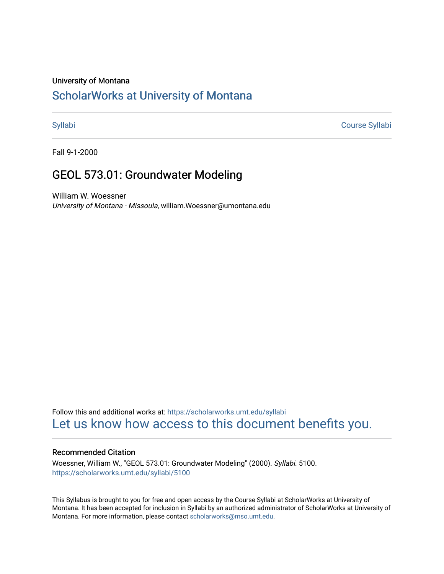#### University of Montana

# [ScholarWorks at University of Montana](https://scholarworks.umt.edu/)

[Syllabi](https://scholarworks.umt.edu/syllabi) [Course Syllabi](https://scholarworks.umt.edu/course_syllabi) 

Fall 9-1-2000

# GEOL 573.01: Groundwater Modeling

William W. Woessner University of Montana - Missoula, william.Woessner@umontana.edu

Follow this and additional works at: [https://scholarworks.umt.edu/syllabi](https://scholarworks.umt.edu/syllabi?utm_source=scholarworks.umt.edu%2Fsyllabi%2F5100&utm_medium=PDF&utm_campaign=PDFCoverPages)  [Let us know how access to this document benefits you.](https://goo.gl/forms/s2rGfXOLzz71qgsB2) 

### Recommended Citation

Woessner, William W., "GEOL 573.01: Groundwater Modeling" (2000). Syllabi. 5100. [https://scholarworks.umt.edu/syllabi/5100](https://scholarworks.umt.edu/syllabi/5100?utm_source=scholarworks.umt.edu%2Fsyllabi%2F5100&utm_medium=PDF&utm_campaign=PDFCoverPages)

This Syllabus is brought to you for free and open access by the Course Syllabi at ScholarWorks at University of Montana. It has been accepted for inclusion in Syllabi by an authorized administrator of ScholarWorks at University of Montana. For more information, please contact [scholarworks@mso.umt.edu.](mailto:scholarworks@mso.umt.edu)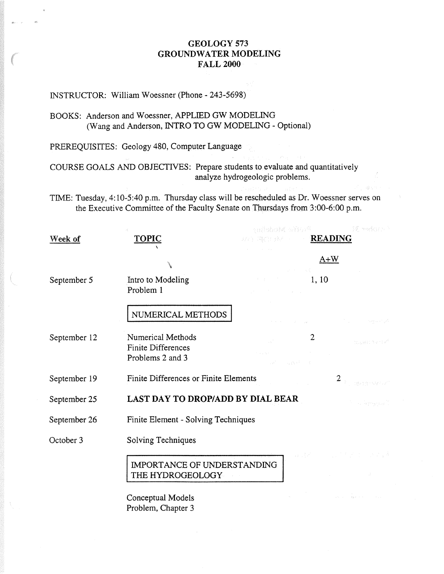# GEOLOGY 573 GROUNDWATER MODELING FALL 2000

# INSTRUCTOR: William Woessner (Phone - 243-5698)

## BOOKS: Anderson and Woessner, APPLIED GW MODELING (Wang and Anderson, INTRO TO GW MODELING - Optional)

PREREQUISITES: Geology 480, Computer Language

COURSE GOALS AND OBJECTIVES: Prepare students to evaluate and quantitatively analyze hydrogeologic problems.

TIME: Tuesday, 4:10-5:40 p.m. Thursday class will be rescheduled as Dr. Woessner serves the Executive Committee of the Faculty Senate on Thursdays from 3:00-6:00 p.m.

| Week of      | <b>TOPIC</b>                                                       | nalistostel ništo (f. 1<br><b>EXAMPLE 2008 READING</b>                                                                                                                  | 镜 medgan 3                             |
|--------------|--------------------------------------------------------------------|-------------------------------------------------------------------------------------------------------------------------------------------------------------------------|----------------------------------------|
|              |                                                                    | しゅうしょく いっ                                                                                                                                                               | $A+W$                                  |
| September 5  | Intro to Modeling<br>Problem 1                                     | and the company of the company                                                                                                                                          |                                        |
|              | NUMERICAL METHODS                                                  | $\label{eq:2.1} \mathcal{F}(\mathcal{A})\left(\mathcal{A}\right) = \mathcal{F}(\mathcal{A})\left(\mathcal{A}\right) = \mathcal{F}(\mathcal{A})\left(\mathcal{A}\right)$ | كالموادي والمتواطن والمتناوب والمتناوب |
| September 12 | Numerical Methods<br><b>Finite Differences</b><br>Problems 2 and 3 | $\sigma_{\rm{max}}$ and $\sigma_{\rm{max}}$<br>When a path of                                                                                                           | ายและการจะวัดที่                       |
| September 19 | Finite Differences or Finite Elements                              |                                                                                                                                                                         | $\hat{J} = -169.33378833$              |
| September 25 | LAST DAY TO DROP/ADD BY DIAL BEAR                                  |                                                                                                                                                                         | A consulations of                      |
| September 26 | Finite Element - Solving Techniques                                |                                                                                                                                                                         |                                        |
| October 3    | Solving Techniques                                                 |                                                                                                                                                                         |                                        |
|              | IMPORTANCE OF UNDERSTANDING<br>THE HYDROGEOLOGY                    |                                                                                                                                                                         | 双耳花 人名加尔加尔 医中毒素                        |
|              | A 1 1 1 . 1 . 1 .                                                  |                                                                                                                                                                         | $\sim 10^{-1}$                         |

Conceptual Models Problem, Chapter 3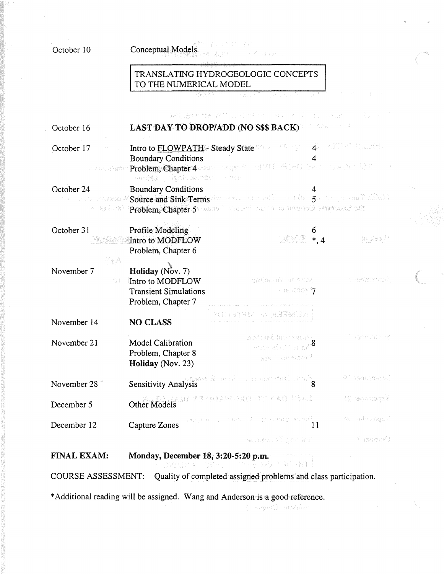| October 10               | jiya ya Nobel ya N<br>Conceptual Models<br>機嫌制 エー・モイト なみこと                                        |                                                                                                                                                                                                                             |                          |  |
|--------------------------|---------------------------------------------------------------------------------------------------|-----------------------------------------------------------------------------------------------------------------------------------------------------------------------------------------------------------------------------|--------------------------|--|
|                          | TRANSLATING HYDROGEOLOGIC CONCEPTS<br>TO THE NUMERICAL MODEL                                      |                                                                                                                                                                                                                             |                          |  |
|                          |                                                                                                   | angust Perry Robert Provincial Policy                                                                                                                                                                                       |                          |  |
| October 16               |                                                                                                   | 英値(接触)対 741 にんせきもん Bestorm プール しんみょく えんとこ<br>LAST DAY TO DROP/ADD (NO \$\$\$ BACK)                                                                                                                                          |                          |  |
| October 17<br>October 24 | <b>Boundary Conditions</b><br>ansident tigologgrapva svem.<br><b>Boundary Conditions</b>          | Intro to FLOWPATH Steady State West 2022 14 1999 12 North Control 1<br>www.sistansip <mark>Problem, Chapter 4</mark> Sustainance and strain State (1997–1998) (1998–1998) (1998–1998)                                       |                          |  |
|                          |                                                                                                   | $\tau^{\alpha}$ . For there $\alpha$ $\sigma$ Source and Sink Terms for each contract to a $\alpha$ - $\sigma$ - $\sigma$ , a seculi find t<br>and Mid-Off Problem, Chapter 5 and of the set in the communel avignosid on a |                          |  |
| October 31               | Profile Modeling<br>Intro to MODFLOW<br>Problem, Chapter 6                                        | OXYEN<br>$*$ , 4                                                                                                                                                                                                            | to glas A                |  |
| 海水流<br>November 7<br>슬 ( | <b>Holiday</b> (Nov. 7)<br>Intro to MODFLOW<br><b>Transient Simulations</b><br>Problem, Chapter 7 | anisbaM or cont<br>$\pm$ molder $\tau$                                                                                                                                                                                      | in the management        |  |
| November 14              | <b>NO CLASS</b>                                                                                   | 7이 그 일반(134 - FAUX 개발(24) . I-                                                                                                                                                                                              |                          |  |
| November 21              | <b>Model Calibration</b><br>Problem, Chapter 8<br>Holiday (Nov. 23)                               | and right interrors. K<br>watesiki suni<br>The Landford                                                                                                                                                                     | 180300000                |  |
| November 28              |                                                                                                   | Sensitivity Analysis and a concertable and 8                                                                                                                                                                                | <sup>6</sup> i nedmotové |  |
| December 5               |                                                                                                   | Other Models General Management Read Tradel                                                                                                                                                                                 | 11 servenska             |  |
| December 12              | Capture Zones                                                                                     | Panish Europe R - Second Staff<br>11                                                                                                                                                                                        | 40 odmonus               |  |
|                          |                                                                                                   | Seines Termounes                                                                                                                                                                                                            | F astant)                |  |
| <b>FINAL EXAM:</b>       | Monday, December 18, 3:20-5:20 p.m.<br>우편 해서 있는 아직 아이들이 있다.                                       | 14 - Qanda Xararawa (                                                                                                                                                                                                       |                          |  |

COURSE ASSESSMENT: Quality of completed assigned problems and class participation.

\* Additional reading will be assigned. Wang and Anderson is a good reference.